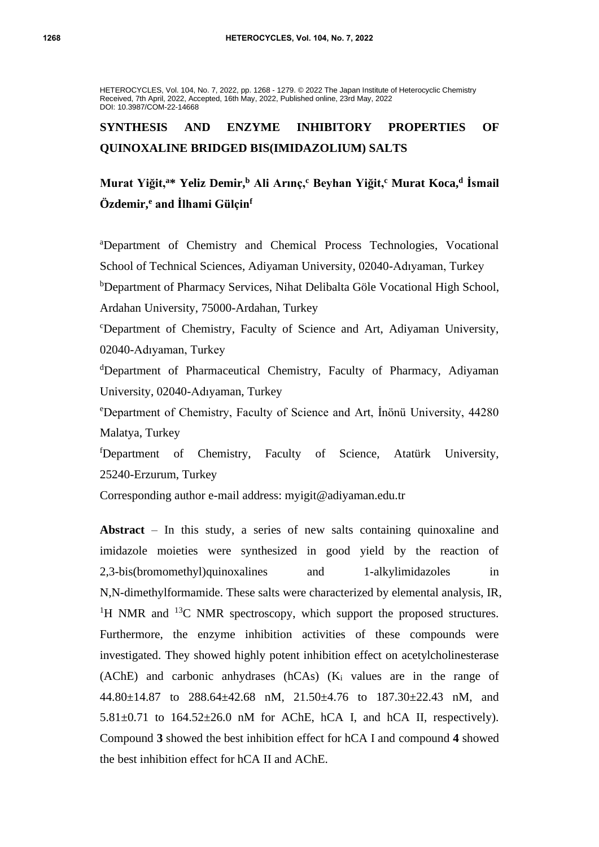HETEROCYCLES, Vol. 104, No. 7, 2022, pp. 1268 - 1279. © 2022 The Japan Institute of Heterocyclic Chemistry Received, 7th April, 2022, Accepted, 16th May, 2022, Published online, 23rd May, 2022 DOI: 10.3987/COM-22-14668

# **SYNTHESIS AND ENZYME INHIBITORY PROPERTIES OF QUINOXALINE BRIDGED BIS(IMIDAZOLIUM) SALTS**

# **Murat Yiğit,<sup>a</sup>\* Yeliz Demir,<sup>b</sup> Ali Arınç,<sup>c</sup> Beyhan Yiğit,<sup>c</sup> Murat Koca,<sup>d</sup> İsmail Özdemir,<sup>e</sup> and İlhami Gülçin<sup>f</sup>**

<sup>a</sup>Department of Chemistry and Chemical Process Technologies, Vocational School of Technical Sciences, Adiyaman University, 02040-Adıyaman, Turkey <sup>b</sup>Department of Pharmacy Services, Nihat Delibalta Göle Vocational High School, Ardahan University, 75000-Ardahan, Turkey

<sup>c</sup>Department of Chemistry, Faculty of Science and Art, Adiyaman University, 02040-Adıyaman, Turkey

<sup>d</sup>Department of Pharmaceutical Chemistry, Faculty of Pharmacy, Adiyaman University, 02040-Adıyaman, Turkey

<sup>e</sup>Department of Chemistry, Faculty of Science and Art, İnönü University, 44280 Malatya, Turkey

<sup>f</sup>Department of Chemistry, Faculty of Science, Atatürk University, 25240-Erzurum, Turkey

Corresponding author e-mail address: myigit@adiyaman.edu.tr

**Abstract** – In this study, a series of new salts containing quinoxaline and imidazole moieties were synthesized in good yield by the reaction of 2,3-bis(bromomethyl)quinoxalines and 1-alkylimidazoles in N,N-dimethylformamide. These salts were characterized by elemental analysis, IR, <sup>1</sup>H NMR and <sup>13</sup>C NMR spectroscopy, which support the proposed structures. Furthermore, the enzyme inhibition activities of these compounds were investigated. They showed highly potent inhibition effect on acetylcholinesterase (AChE) and carbonic anhydrases (hCAs) (K<sup>i</sup> values are in the range of 44.80±14.87 to 288.64±42.68 nM, 21.50±4.76 to 187.30±22.43 nM, and  $5.81 \pm 0.71$  to  $164.52 \pm 26.0$  nM for AChE, hCA I, and hCA II, respectively). Compound **3** showed the best inhibition effect for hCA I and compound **4** showed the best inhibition effect for hCA II and AChE.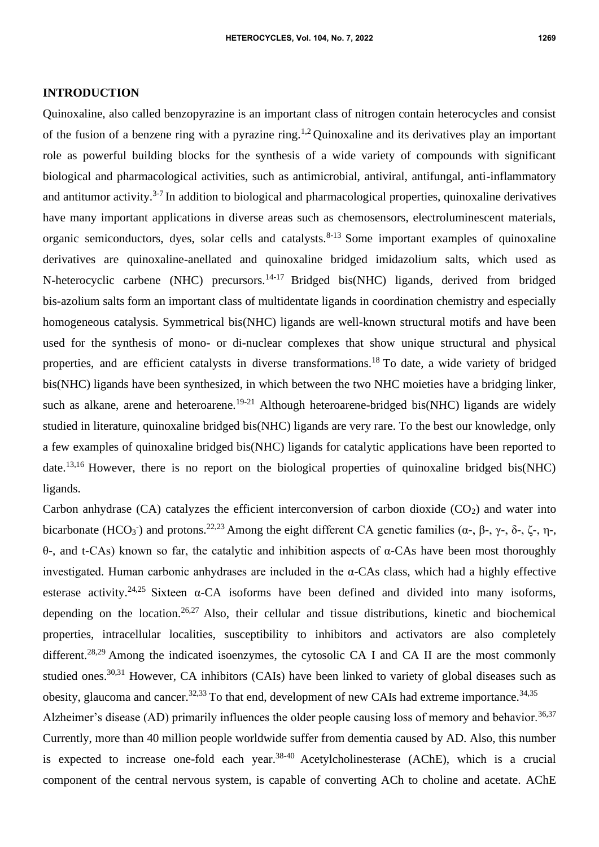#### **INTRODUCTION**

Quinoxaline, also called benzopyrazine is an important class of nitrogen contain heterocycles and consist of the fusion of a benzene ring with a pyrazine ring.<sup>1,2</sup> Quinoxaline and its derivatives play an important role as powerful building blocks for the synthesis of a wide variety of compounds with significant biological and pharmacological activities, such as antimicrobial, antiviral, antifungal, anti-inflammatory and antitumor activity.<sup>3-7</sup> In addition to biological and pharmacological properties, quinoxaline derivatives have many important applications in diverse areas such as chemosensors, electroluminescent materials, organic semiconductors, dyes, solar cells and catalysts. $8-13$  Some important examples of quinoxaline derivatives are quinoxaline-anellated and quinoxaline bridged imidazolium salts, which used as N-heterocyclic carbene (NHC) precursors.<sup>14-17</sup> Bridged bis(NHC) ligands, derived from bridged bis-azolium salts form an important class of multidentate ligands in coordination chemistry and especially homogeneous catalysis. Symmetrical bis(NHC) ligands are well-known structural motifs and have been used for the synthesis of mono- or di-nuclear complexes that show unique structural and physical properties, and are efficient catalysts in diverse transformations.<sup>18</sup> To date, a wide variety of bridged bis(NHC) ligands have been synthesized, in which between the two NHC moieties have a bridging linker, such as alkane, arene and heteroarene.<sup>19-21</sup> Although heteroarene-bridged bis(NHC) ligands are widely studied in literature, quinoxaline bridged bis(NHC) ligands are very rare. To the best our knowledge, only a few examples of quinoxaline bridged bis(NHC) ligands for catalytic applications have been reported to date.<sup>13,16</sup> However, there is no report on the biological properties of quinoxaline bridged bis(NHC) ligands.

Carbon anhydrase  $(CA)$  catalyzes the efficient interconversion of carbon dioxide  $(CO<sub>2</sub>)$  and water into bicarbonate (HCO<sub>3</sub><sup>-</sup>) and protons.<sup>22,23</sup> Among the eight different CA genetic families ( $\alpha$ -,  $\beta$ -,  $\gamma$ -,  $\delta$ -,  $\zeta$ -,  $\eta$ -, θ-, and t-CAs) known so far, the catalytic and inhibition aspects of α-CAs have been most thoroughly investigated. Human carbonic anhydrases are included in the α-CAs class, which had a highly effective esterase activity.<sup>24,25</sup> Sixteen  $\alpha$ -CA isoforms have been defined and divided into many isoforms, depending on the location.<sup>26,27</sup> Also, their cellular and tissue distributions, kinetic and biochemical properties, intracellular localities, susceptibility to inhibitors and activators are also completely different.<sup>28,29</sup> Among the indicated isoenzymes, the cytosolic CA I and CA II are the most commonly studied ones.<sup>30,31</sup> However, CA inhibitors (CAIs) have been linked to variety of global diseases such as obesity, glaucoma and cancer.<sup>32,33</sup> To that end, development of new CAIs had extreme importance.<sup>34,35</sup>

Alzheimer's disease (AD) primarily influences the older people causing loss of memory and behavior.<sup>36,37</sup> Currently, more than 40 million people worldwide suffer from dementia caused by AD. Also, this number is expected to increase one-fold each year.<sup>38-40</sup> Acetylcholinesterase (AChE), which is a crucial component of the central nervous system, is capable of converting ACh to choline and acetate. AChE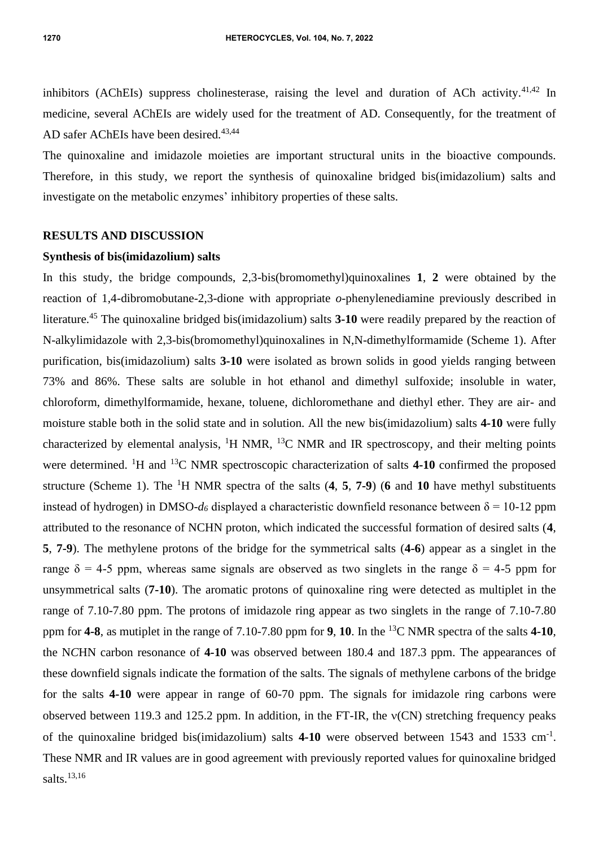inhibitors (AChEIs) suppress cholinesterase, raising the level and duration of ACh activity.<sup>41,42</sup> In medicine, several AChEIs are widely used for the treatment of AD. Consequently, for the treatment of AD safer AChEIs have been desired.<sup>43,44</sup>

The quinoxaline and imidazole moieties are important structural units in the bioactive compounds. Therefore, in this study, we report the synthesis of quinoxaline bridged bis(imidazolium) salts and investigate on the metabolic enzymes' inhibitory properties of these salts.

### **RESULTS AND DISCUSSION**

#### **Synthesis of bis(imidazolium) salts**

In this study, the bridge compounds, 2,3-bis(bromomethyl)quinoxalines **1**, **2** were obtained by the reaction of 1,4-dibromobutane-2,3-dione with appropriate *o*-phenylenediamine previously described in literature.<sup>45</sup> The quinoxaline bridged bis(imidazolium) salts **3-10** were readily prepared by the reaction of N-alkylimidazole with 2,3-bis(bromomethyl)quinoxalines in N,N-dimethylformamide (Scheme 1). After purification, bis(imidazolium) salts **3-10** were isolated as brown solids in good yields ranging between 73% and 86%. These salts are soluble in hot ethanol and dimethyl sulfoxide; insoluble in water, chloroform, dimethylformamide, hexane, toluene, dichloromethane and diethyl ether. They are air- and moisture stable both in the solid state and in solution. All the new bis(imidazolium) salts **4-10** were fully characterized by elemental analysis,  ${}^{1}H$  NMR,  ${}^{13}C$  NMR and IR spectroscopy, and their melting points were determined. <sup>1</sup>H and <sup>13</sup>C NMR spectroscopic characterization of salts 4-10 confirmed the proposed structure (Scheme 1). The <sup>1</sup>H NMR spectra of the salts (**4**, **5**, **7-9**) (**6** and **10** have methyl substituents instead of hydrogen) in DMSO- $d_6$  displayed a characteristic downfield resonance between  $\delta = 10$ -12 ppm attributed to the resonance of NCHN proton, which indicated the successful formation of desired salts (**4**, **5**, **7-9**). The methylene protons of the bridge for the symmetrical salts (**4-6**) appear as a singlet in the range  $\delta = 4-5$  ppm, whereas same signals are observed as two singlets in the range  $\delta = 4-5$  ppm for unsymmetrical salts (**7-10**). The aromatic protons of quinoxaline ring were detected as multiplet in the range of 7.10-7.80 ppm. The protons of imidazole ring appear as two singlets in the range of 7.10-7.80 ppm for **4-8**, as mutiplet in the range of 7.10-7.80 ppm for **9**, **10**. In the <sup>13</sup>C NMR spectra of the salts **4-10**, the N*C*HN carbon resonance of **4-10** was observed between 180.4 and 187.3 ppm. The appearances of these downfield signals indicate the formation of the salts. The signals of methylene carbons of the bridge for the salts **4-10** were appear in range of 60-70 ppm. The signals for imidazole ring carbons were observed between 119.3 and 125.2 ppm. In addition, in the FT-IR, the  $v(CN)$  stretching frequency peaks of the quinoxaline bridged bis(imidazolium) salts 4-10 were observed between 1543 and 1533 cm<sup>-1</sup>. These NMR and IR values are in good agreement with previously reported values for quinoxaline bridged salts.<sup>13,16</sup>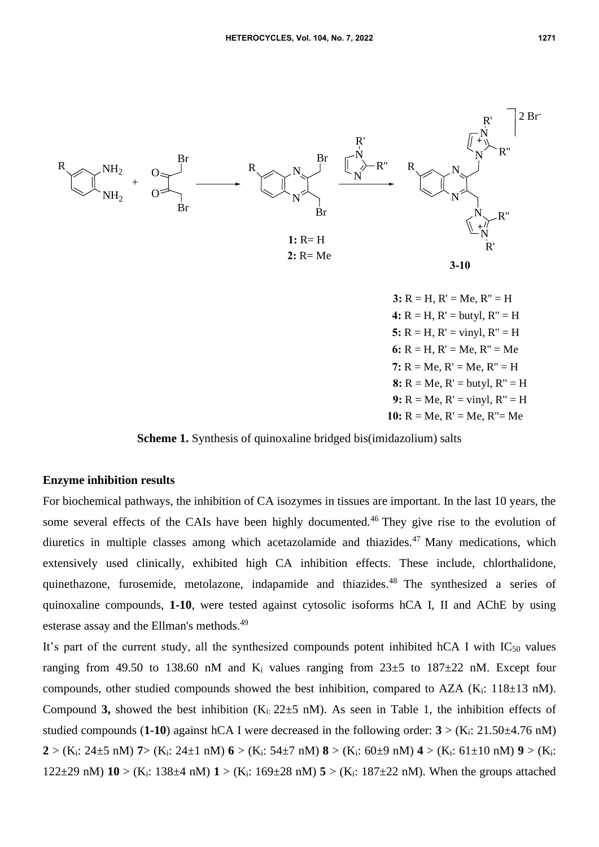

**9:**  $R = Me$ ,  $R' = vinyl$ ,  $R'' = H$ **10:** R = Me, R' = Me, R''= Me **4:**  $R = H$ ,  $R' = \text{butvl}$ ,  $R'' = H$ **5:**  $R = H$ ,  $R' = \text{vinyl}$ ,  $R'' = H$ 6:  $R = H$ ,  $R' = Me$ ,  $R'' = Me$ **7:**  $R = Me$ ,  $R' = Me$ ,  $R'' = H$ **8:**  $R = Me$ ,  $R' = but$   $vl$ ,  $R'' = H$ 

**Scheme 1.** Synthesis of quinoxaline bridged bis(imidazolium) salts

### **Enzyme inhibition results**

For biochemical pathways, the inhibition of CA isozymes in tissues are important. In the last 10 years, the some several effects of the CAIs have been highly documented.<sup>46</sup> They give rise to the evolution of diuretics in multiple classes among which acetazolamide and thiazides.<sup>47</sup> Many medications, which extensively used clinically, exhibited high CA inhibition effects. These include, chlorthalidone, quinethazone, furosemide, metolazone, indapamide and thiazides.<sup>48</sup> The synthesized a series of quinoxaline compounds, **1-10**, were tested against cytosolic isoforms hCA I, II and AChE by using esterase assay and the Ellman's methods.<sup>49</sup>

It's part of the current study, all the synthesized compounds potent inhibited hCA I with  $IC_{50}$  values ranging from 49.50 to 138.60 nM and  $K_i$  values ranging from 23 $\pm$ 5 to 187 $\pm$ 22 nM. Except four compounds, other studied compounds showed the best inhibition, compared to AZA (K<sub>i</sub>:  $118\pm13$  nM). Compound **3,** showed the best inhibition  $(K_i: 22 \pm 5 \text{ nM})$ . As seen in Table 1, the inhibition effects of studied compounds (**1-10**) against hCA I were decreased in the following order:  $3 > (K_i: 21.50 \pm 4.76 \text{ nM})$ **2** > (K<sub>i</sub>: 24±5 nM) **7** > (K<sub>i</sub>: 24±1 nM) **6** > (K<sub>i</sub>: 54±7 nM) **8** > (K<sub>i</sub>: 60±9 nM) **4** > (K<sub>i</sub>: 61±10 nM) **9** > (K<sub>i</sub>: 122±29 nM) **10** > (Ki: 138±4 nM) **1** > (Ki: 169±28 nM) **5** > (Ki: 187±22 nM). When the groups attached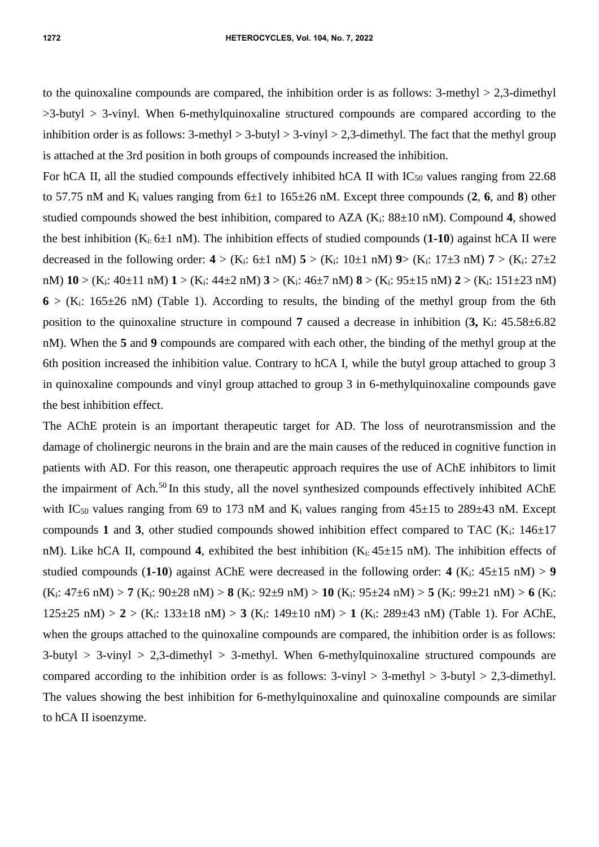to the quinoxaline compounds are compared, the inhibition order is as follows:  $3$ -methyl  $> 2,3$ -dimethyl  $>3$ -butyl  $>3$ -vinyl. When 6-methylquinoxaline structured compounds are compared according to the inhibition order is as follows:  $3$ -methyl  $> 3$ -butyl  $> 3$ -vinyl  $> 2,3$ -dimethyl. The fact that the methyl group is attached at the 3rd position in both groups of compounds increased the inhibition.

For hCA II, all the studied compounds effectively inhibited hCA II with  $IC_{50}$  values ranging from 22.68 to 57.75 nM and  $K_i$  values ranging from  $6\pm 1$  to  $165\pm 26$  nM. Except three compounds (2, 6, and 8) other studied compounds showed the best inhibition, compared to  $AZA$  ( $K_i$ :  $88\pm10$  nM). Compound 4, showed the best inhibition  $(K_i: 6\pm 1 \text{ nM})$ . The inhibition effects of studied compounds (1-10) against hCA II were decreased in the following order:  $4 > (K_i: 6 \pm 1 \text{ nM})$  **5**  $> (K_i: 10 \pm 1 \text{ nM})$  **9** $> (K_i: 17 \pm 3 \text{ nM})$  **7**  $> (K_i: 27 \pm 2 \text{ nM})$ nM) **10** > (Ki: 40±11 nM) **1** > (Ki: 44±2 nM) **3** > (Ki: 46±7 nM) **8** > (Ki: 95±15 nM) **2** > (Ki: 151±23 nM)  $6 > (K_i: 165 \pm 26 \text{ nM})$  (Table 1). According to results, the binding of the methyl group from the 6th position to the quinoxaline structure in compound **7** caused a decrease in inhibition (**3,** Ki: 45.58±6.82 nM). When the **5** and **9** compounds are compared with each other, the binding of the methyl group at the 6th position increased the inhibition value. Contrary to hCA I, while the butyl group attached to group 3 in quinoxaline compounds and vinyl group attached to group 3 in 6-methylquinoxaline compounds gave the best inhibition effect.

The AChE protein is an important therapeutic target for AD. The loss of neurotransmission and the damage of cholinergic neurons in the brain and are the main causes of the reduced in cognitive function in patients with AD. For this reason, one therapeutic approach requires the use of AChE inhibitors to limit the impairment of Ach.<sup>50</sup> In this study, all the novel synthesized compounds effectively inhibited AChE with IC<sub>50</sub> values ranging from 69 to 173 nM and K<sub>i</sub> values ranging from  $45\pm15$  to 289 $\pm43$  nM. Except compounds 1 and 3, other studied compounds showed inhibition effect compared to TAC  $(K<sub>i</sub>: 146±17)$ nM). Like hCA II, compound 4, exhibited the best inhibition  $(K_{i:} 45 \pm 15 \text{ nM})$ . The inhibition effects of studied compounds (1-10) against AChE were decreased in the following order:  $4$  (K<sub>i</sub>:  $45\pm15$  nM) > 9 (Ki: 47±6 nM) > **7** (Ki: 90±28 nM) > **8** (Ki: 92±9 nM) > **10** (Ki: 95±24 nM) > **5** (Ki: 99±21 nM) > **6** (Ki: 125±25 nM) > **2** > (Ki: 133±18 nM) > **3** (Ki: 149±10 nM) > **1** (Ki: 289±43 nM) (Table 1). For AChE, when the groups attached to the quinoxaline compounds are compared, the inhibition order is as follows:  $3$ -butyl > 3-vinyl > 2,3-dimethyl > 3-methyl. When 6-methylquinoxaline structured compounds are compared according to the inhibition order is as follows:  $3$ -vinyl >  $3$ -methyl >  $3$ -butyl >  $2,3$ -dimethyl. The values showing the best inhibition for 6-methylquinoxaline and quinoxaline compounds are similar to hCA II isoenzyme.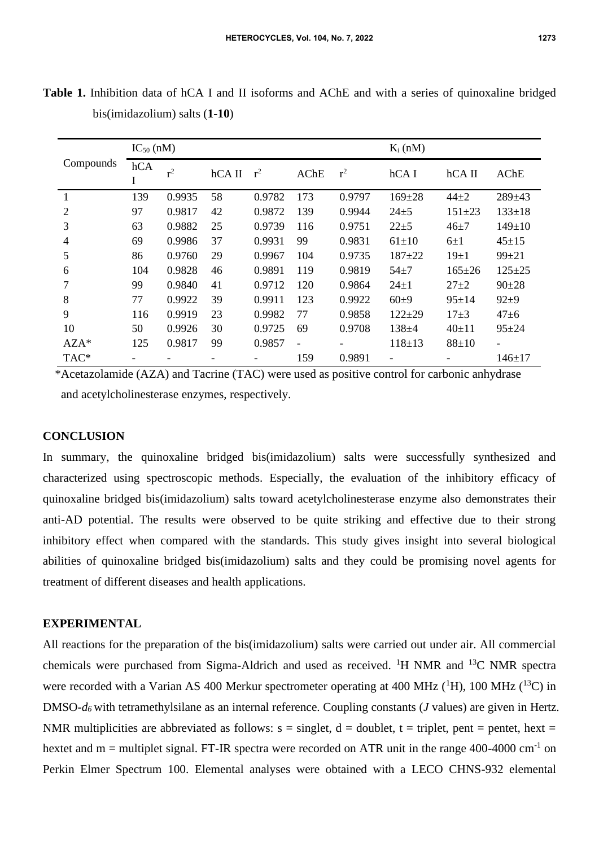| Compounds      | $IC_{50}$ (nM) |        |          |        |                          |        | $K_i$ (nM)               |              |                          |
|----------------|----------------|--------|----------|--------|--------------------------|--------|--------------------------|--------------|--------------------------|
|                | hCA<br>1       | $r^2$  | $hCA$ II | $r^2$  | <b>AChE</b>              | $r^2$  | hCA I                    | $hCA$ II     | <b>AChE</b>              |
|                | 139            | 0.9935 | 58       | 0.9782 | 173                      | 0.9797 | $169 + 28$               | $44 + 2$     | $289 \pm 43$             |
| $\overline{2}$ | 97             | 0.9817 | 42       | 0.9872 | 139                      | 0.9944 | $24 + 5$                 | $151 + 23$   | $133 \pm 18$             |
| 3              | 63             | 0.9882 | 25       | 0.9739 | 116                      | 0.9751 | $22 + 5$                 | $46 + 7$     | $149 \pm 10$             |
| 4              | 69             | 0.9986 | 37       | 0.9931 | 99                       | 0.9831 | $61 + 10$                | $6\pm1$      | $45 + 15$                |
| 5              | 86             | 0.9760 | 29       | 0.9967 | 104                      | 0.9735 | $187 + 22$               | $19\pm1$     | $99 \pm 21$              |
| 6              | 104            | 0.9828 | 46       | 0.9891 | 119                      | 0.9819 | $54 + 7$                 | $165 \pm 26$ | $125 \pm 25$             |
| 7              | 99             | 0.9840 | 41       | 0.9712 | 120                      | 0.9864 | $24 \pm 1$               | $27 + 2$     | $90+28$                  |
| 8              | 77             | 0.9922 | 39       | 0.9911 | 123                      | 0.9922 | $60+9$                   | $95 \pm 14$  | $92 + 9$                 |
| 9              | 116            | 0.9919 | 23       | 0.9982 | 77                       | 0.9858 | $122 + 29$               | $17 + 3$     | $47\pm 6$                |
| 10             | 50             | 0.9926 | 30       | 0.9725 | 69                       | 0.9708 | $138 + 4$                | $40+11$      | $95 + 24$                |
| $AZA*$         | 125            | 0.9817 | 99       | 0.9857 | $\overline{\phantom{0}}$ |        | $118 \pm 13$             | $88 + 10$    | $\overline{\phantom{a}}$ |
| TAC*           |                |        |          |        | 159                      | 0.9891 | $\overline{\phantom{0}}$ |              | $146 + 17$               |

**Table 1.** Inhibition data of hCA I and II isoforms and AChE and with a series of quinoxaline bridged bis(imidazolium) salts (**1-10**)

\*Acetazolamide (AZA) and Tacrine (TAC) were used as positive control for carbonic anhydrase and acetylcholinesterase enzymes, respectively.

## **CONCLUSION**

In summary, the quinoxaline bridged bis(imidazolium) salts were successfully synthesized and characterized using spectroscopic methods. Especially, the evaluation of the inhibitory efficacy of quinoxaline bridged bis(imidazolium) salts toward acetylcholinesterase enzyme also demonstrates their anti-AD potential. The results were observed to be quite striking and effective due to their strong inhibitory effect when compared with the standards. This study gives insight into several biological abilities of quinoxaline bridged bis(imidazolium) salts and they could be promising novel agents for treatment of different diseases and health applications.

### **EXPERIMENTAL**

All reactions for the preparation of the bis(imidazolium) salts were carried out under air. All commercial chemicals were purchased from Sigma-Aldrich and used as received. <sup>1</sup>H NMR and <sup>13</sup>C NMR spectra were recorded with a Varian AS 400 Merkur spectrometer operating at 400 MHz  $(^1H)$ , 100 MHz  $(^{13}C)$  in DMSO-*d<sup>6</sup>* with tetramethylsilane as an internal reference. Coupling constants (*J* values) are given in Hertz. NMR multiplicities are abbreviated as follows:  $s = singlet$ ,  $d = doublet$ ,  $t = triplet$ , pent = pentet, hext = hextet and  $m =$  multiplet signal. FT-IR spectra were recorded on ATR unit in the range 400-4000 cm<sup>-1</sup> on Perkin Elmer Spectrum 100. Elemental analyses were obtained with a LECO CHNS-932 elemental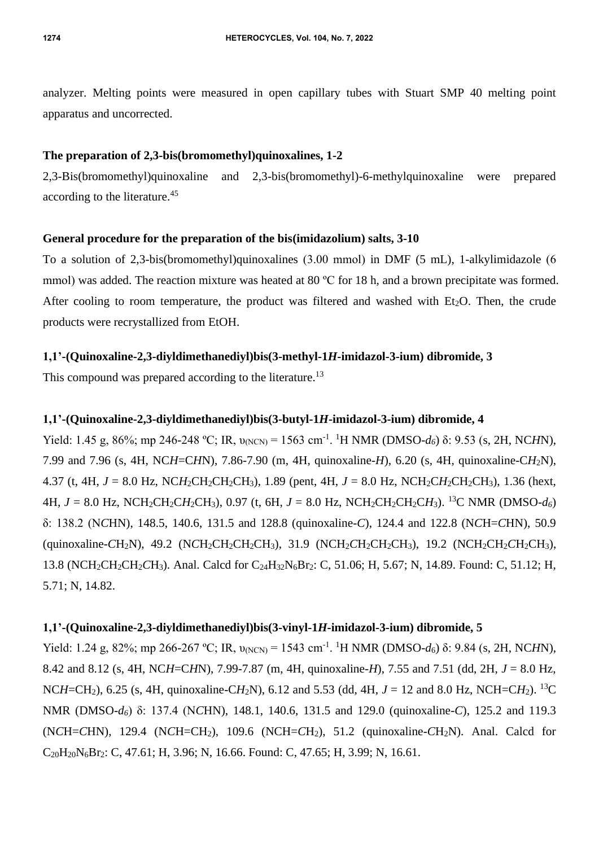analyzer. Melting points were measured in open capillary tubes with Stuart SMP 40 melting point apparatus and uncorrected.

## **The preparation of 2,3-bis(bromomethyl)quinoxalines, 1-2**

2,3-Bis(bromomethyl)quinoxaline and 2,3-bis(bromomethyl)-6-methylquinoxaline were prepared according to the literature.<sup>45</sup>

## **General procedure for the preparation of the bis(imidazolium) salts, 3-10**

To a solution of 2,3-bis(bromomethyl)quinoxalines (3.00 mmol) in DMF (5 mL), 1-alkylimidazole (6 mmol) was added. The reaction mixture was heated at 80 °C for 18 h, and a brown precipitate was formed. After cooling to room temperature, the product was filtered and washed with Et<sub>2</sub>O. Then, the crude products were recrystallized from EtOH.

# **1,1'-(Quinoxaline-2,3-diyldimethanediyl)bis(3-methyl-1***H***-imidazol-3-ium) dibromide, 3**

This compound was prepared according to the literature.<sup>13</sup>

# **1,1'-(Quinoxaline-2,3-diyldimethanediyl)bis(3-butyl-1***H***-imidazol-3-ium) dibromide, 4**

Yield: 1.45 g, 86%; mp 246-248 °C; IR,  $v_{(NCN)} = 1563$  cm<sup>-1</sup>. <sup>1</sup>H NMR (DMSO-*d*<sub>6</sub>) δ: 9.53 (s, 2H, NC*H*N), 7.99 and 7.96 (s, 4H, NC*H*=C*H*N), 7.86-7.90 (m, 4H, quinoxaline-*H*), 6.20 (s, 4H, quinoxaline-C*H*2N), 4.37 (t, 4H,  $J = 8.0$  Hz, NC*H*<sub>2</sub>CH<sub>2</sub>CH<sub>2</sub>CH<sub>3</sub>), 1.89 (pent, 4H,  $J = 8.0$  Hz, NCH<sub>2</sub>CH<sub>2</sub>CH<sub>2</sub>CH<sub>3</sub>), 1.36 (hext, 4H,  $J = 8.0$  Hz, NCH<sub>2</sub>CH<sub>2</sub>CH<sub>2</sub>CH<sub>3</sub>), 0.97 (t, 6H,  $J = 8.0$  Hz, NCH<sub>2</sub>CH<sub>2</sub>CH<sub>2</sub>CH<sub>2</sub>CH<sub>3</sub>). <sup>13</sup>C NMR (DMSO-*d<sub>6</sub>*) δ: 138.2 (N*C*HN), 148.5, 140.6, 131.5 and 128.8 (quinoxaline-*C*), 124.4 and 122.8 (N*C*H=*C*HN), 50.9 (quinoxaline-*C*H<sub>2</sub>N), 49.2 (N*C*H<sub>2</sub>CH<sub>2</sub>CH<sub>2</sub>CH<sub>3</sub>), 31.9 (NCH<sub>2</sub>CH<sub>2</sub>CH<sub>2</sub>CH<sub>3</sub>), 19.2 (NCH<sub>2</sub>CH<sub>2</sub>CH<sub>2</sub>CH<sub>3</sub>), 13.8 (NCH2CH2CH2*C*H3). Anal. Calcd for C24H32N6Br2: C, 51.06; H, 5.67; N, 14.89. Found: C, 51.12; H, 5.71; N, 14.82.

# **1,1'-(Quinoxaline-2,3-diyldimethanediyl)bis(3-vinyl-1***H***-imidazol-3-ium) dibromide, 5**

Yield: 1.24 g, 82%; mp 266-267 °C; IR,  $v_{(NCN)} = 1543$  cm<sup>-1</sup>. <sup>1</sup>H NMR (DMSO-*d*<sub>6</sub>) δ: 9.84 (s, 2H, NC*H*N), 8.42 and 8.12 (s, 4H, NC*H*=C*H*N), 7.99-7.87 (m, 4H, quinoxaline-*H*), 7.55 and 7.51 (dd, 2H, *J* = 8.0 Hz, NC*H*=CH2), 6.25 (s, 4H, quinoxaline-C*H*2N), 6.12 and 5.53 (dd, 4H, *J* = 12 and 8.0 Hz, NCH=C*H*2). <sup>13</sup>C NMR (DMSO-*d6*) δ: 137.4 (N*C*HN), 148.1, 140.6, 131.5 and 129.0 (quinoxaline-*C*), 125.2 and 119.3 (N*C*H=*C*HN), 129.4 (N*C*H=CH2), 109.6 (NCH=*C*H2), 51.2 (quinoxaline-*C*H2N). Anal. Calcd for C20H20N6Br2: C, 47.61; H, 3.96; N, 16.66. Found: C, 47.65; H, 3.99; N, 16.61.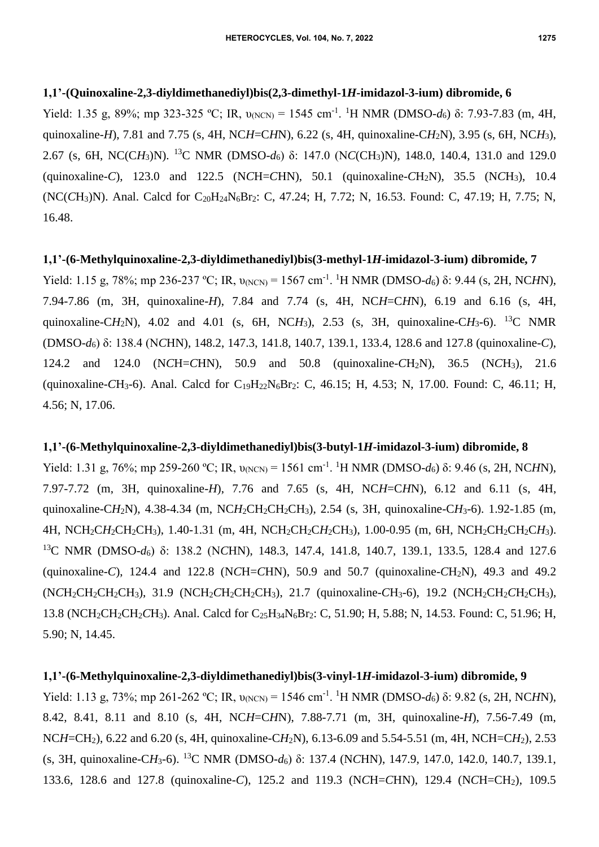### **1,1'-(Quinoxaline-2,3-diyldimethanediyl)bis(2,3-dimethyl-1***H***-imidazol-3-ium) dibromide, 6**

Yield: 1.35 g, 89%; mp 323-325 °C; IR,  $v_{(NCN)} = 1545$  cm<sup>-1</sup>. <sup>1</sup>H NMR (DMSO-*d*6) δ: 7.93-7.83 (m, 4H, quinoxaline-*H*), 7.81 and 7.75 (s, 4H, NC*H*=C*H*N), 6.22 (s, 4H, quinoxaline-C*H*2N), 3.95 (s, 6H, NC*H*3), 2.67 (s, 6H, NC(C*H*3)N). <sup>13</sup>C NMR (DMSO-*d*6) δ: 147.0 (N*C*(CH3)N), 148.0, 140.4, 131.0 and 129.0 (quinoxaline-*C*), 123.0 and 122.5 (N*C*H=*C*HN), 50.1 (quinoxaline-*C*H2N), 35.5 (N*C*H3), 10.4 (NC(CH<sub>3</sub>)N). Anal. Calcd for C<sub>20</sub>H<sub>24</sub>N<sub>6</sub>Br<sub>2</sub>: C, 47.24; H, 7.72; N, 16.53. Found: C, 47.19; H, 7.75; N, 16.48.

## **1,1'-(6-Methylquinoxaline-2,3-diyldimethanediyl)bis(3-methyl-1***H***-imidazol-3-ium) dibromide, 7**

Yield: 1.15 g, 78%; mp 236-237 °C; IR,  $v_{(NCN)} = 1567$  cm<sup>-1</sup>. <sup>1</sup>H NMR (DMSO-*d*6) δ: 9.44 (s, 2H, NC*H*N), 7.94-7.86 (m, 3H, quinoxaline-*H*), 7.84 and 7.74 (s, 4H, NC*H*=C*H*N), 6.19 and 6.16 (s, 4H, quinoxaline-CH<sub>2</sub>N), 4.02 and 4.01 (s, 6H, NCH<sub>3</sub>), 2.53 (s, 3H, quinoxaline-CH<sub>3</sub>-6). <sup>13</sup>C NMR (DMSO-*d*6) δ: 138.4 (N*C*HN), 148.2, 147.3, 141.8, 140.7, 139.1, 133.4, 128.6 and 127.8 (quinoxaline-*C*), 124.2 and 124.0 (N*C*H=*C*HN), 50.9 and 50.8 (quinoxaline-*C*H2N), 36.5 (N*C*H3), 21.6 (quinoxaline-*C*H3-6). Anal. Calcd for C19H22N6Br2: C, 46.15; H, 4.53; N, 17.00. Found: C, 46.11; H, 4.56; N, 17.06.

### **1,1'-(6-Methylquinoxaline-2,3-diyldimethanediyl)bis(3-butyl-1***H***-imidazol-3-ium) dibromide, 8**

Yield: 1.31 g, 76%; mp 259-260 °C; IR,  $v_{(NCN)} = 1561 \text{ cm}^{-1}$ . <sup>1</sup>H NMR (DMSO-*d*6) δ: 9.46 (s, 2H, NC*H*N), 7.97-7.72 (m, 3H, quinoxaline-*H*), 7.76 and 7.65 (s, 4H, NC*H*=C*H*N), 6.12 and 6.11 (s, 4H, quinoxaline-CH<sub>2</sub>N), 4.38-4.34 (m, NCH<sub>2</sub>CH<sub>2</sub>CH<sub>2</sub>CH<sub>3</sub>), 2.54 (s, 3H, quinoxaline-CH<sub>3</sub>-6). 1.92-1.85 (m, 4H, NCH<sub>2</sub>CH<sub>2</sub>CH<sub>2</sub>CH<sub>3</sub>), 1.40-1.31 (m, 4H, NCH<sub>2</sub>CH<sub>2</sub>CH<sub>2</sub>CH<sub>3</sub>), 1.00-0.95 (m, 6H, NCH<sub>2</sub>CH<sub>2</sub>CH<sub>2</sub>CH<sub>2</sub>CH<sub>3</sub>). <sup>13</sup>C NMR (DMSO-*d*<sub>6</sub>) δ: 138.2 (NCHN), 148.3, 147.4, 141.8, 140.7, 139.1, 133.5, 128.4 and 127.6 (quinoxaline-*C*), 124.4 and 122.8 (N*C*H=*C*HN), 50.9 and 50.7 (quinoxaline-*C*H2N), 49.3 and 49.2 (N*C*H2CH2CH2CH3), 31.9 (NCH2*C*H2CH2CH3), 21.7 (quinoxaline-*C*H3-6), 19.2 (NCH2CH2*C*H2CH3), 13.8 (NCH2CH2CH2*C*H3). Anal. Calcd for C25H34N6Br2: C, 51.90; H, 5.88; N, 14.53. Found: C, 51.96; H, 5.90; N, 14.45.

### **1,1'-(6-Methylquinoxaline-2,3-diyldimethanediyl)bis(3-vinyl-1***H***-imidazol-3-ium) dibromide, 9**

Yield: 1.13 g, 73%; mp 261-262 °C; IR, υ<sub>(NCN)</sub> = 1546 cm<sup>-1</sup>. <sup>1</sup>H NMR (DMSO-*d*<sub>6</sub>) δ: 9.82 (s, 2H, NC*H*N), 8.42, 8.41, 8.11 and 8.10 (s, 4H, NC*H*=C*H*N), 7.88-7.71 (m, 3H, quinoxaline-*H*), 7.56-7.49 (m, NC*H*=CH2), 6.22 and 6.20 (s, 4H, quinoxaline-C*H*2N), 6.13-6.09 and 5.54-5.51 (m, 4H, NCH=C*H*2), 2.53 (s, 3H, quinoxaline-C*H*3-6). <sup>13</sup>C NMR (DMSO-*d*6) δ: 137.4 (N*C*HN), 147.9, 147.0, 142.0, 140.7, 139.1, 133.6, 128.6 and 127.8 (quinoxaline-*C*), 125.2 and 119.3 (N*C*H=*C*HN), 129.4 (N*C*H=CH2), 109.5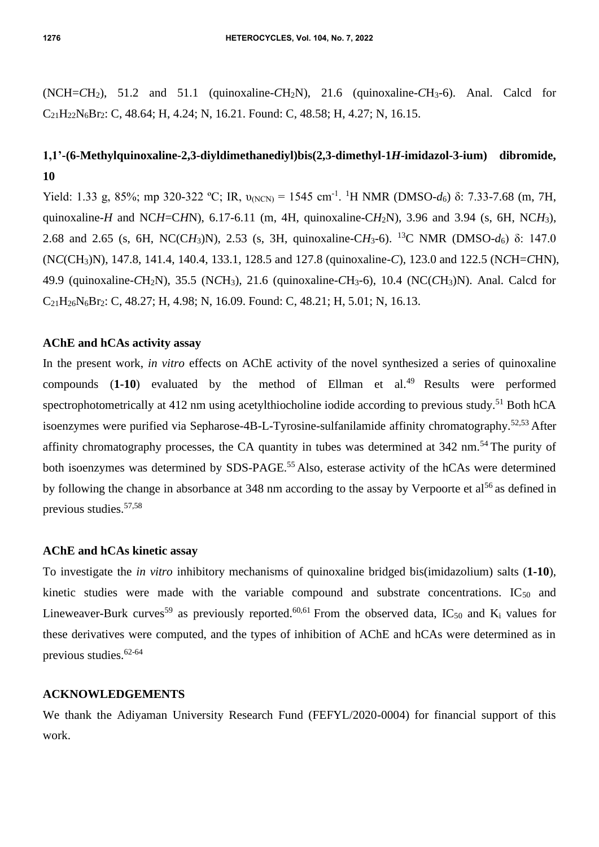$(NCH=CH<sub>2</sub>)$ , 51.2 and 51.1 (quinoxaline- $CH<sub>2</sub>N$ ), 21.6 (quinoxaline- $CH<sub>3</sub>-6$ ). Anal. Calcd for C21H22N6Br2: C, 48.64; H, 4.24; N, 16.21. Found: C, 48.58; H, 4.27; N, 16.15.

# **1,1'-(6-Methylquinoxaline-2,3-diyldimethanediyl)bis(2,3-dimethyl-1***H***-imidazol-3-ium) dibromide, 10**

Yield: 1.33 g, 85%; mp 320-322 °C; IR,  $v_{(NCN)} = 1545$  cm<sup>-1</sup>. <sup>1</sup>H NMR (DMSO-*d*6) δ: 7.33-7.68 (m, 7H, quinoxaline-*H* and NC*H*=C*H*N), 6.17-6.11 (m, 4H, quinoxaline-C*H*<sub>2</sub>N), 3.96 and 3.94 (s, 6H, NC*H*<sub>3</sub>), 2.68 and 2.65 (s, 6H, NC(C*H*3)N), 2.53 (s, 3H, quinoxaline-C*H*3-6). <sup>13</sup>C NMR (DMSO-*d*6) δ: 147.0 (N*C*(CH3)N), 147.8, 141.4, 140.4, 133.1, 128.5 and 127.8 (quinoxaline-*C*), 123.0 and 122.5 (N*C*H=*C*HN), 49.9 (quinoxaline-*C*H2N), 35.5 (N*C*H3), 21.6 (quinoxaline-*C*H3-6), 10.4 (NC(*C*H3)N). Anal. Calcd for  $C_{21}H_{26}N_6Br_2$ : C, 48.27; H, 4.98; N, 16.09. Found: C, 48.21; H, 5.01; N, 16.13.

### **AChE and hCAs activity assay**

In the present work, *in vitro* effects on AChE activity of the novel synthesized a series of quinoxaline compounds (1-10) evaluated by the method of Ellman et al.<sup>49</sup> Results were performed spectrophotometrically at 412 nm using acetylthiocholine iodide according to previous study.<sup>51</sup> Both hCA isoenzymes were purified via Sepharose-4B-L-Tyrosine-sulfanilamide affinity chromatography.<sup>52,53</sup> After affinity chromatography processes, the CA quantity in tubes was determined at  $342 \text{ nm}$ .<sup>54</sup> The purity of both isoenzymes was determined by SDS-PAGE.<sup>55</sup> Also, esterase activity of the hCAs were determined by following the change in absorbance at 348 nm according to the assay by Verpoorte et al<sup>56</sup> as defined in previous studies.57,58

### **AChE and hCAs kinetic assay**

To investigate the *in vitro* inhibitory mechanisms of quinoxaline bridged bis(imidazolium) salts (**1-10**), kinetic studies were made with the variable compound and substrate concentrations.  $IC_{50}$  and Lineweaver-Burk curves<sup>59</sup> as previously reported.<sup>60,61</sup> From the observed data, IC<sub>50</sub> and K<sub>i</sub> values for these derivatives were computed, and the types of inhibition of AChE and hCAs were determined as in previous studies.62-64

### **ACKNOWLEDGEMENTS**

We thank the Adiyaman University Research Fund (FEFYL/2020-0004) for financial support of this work.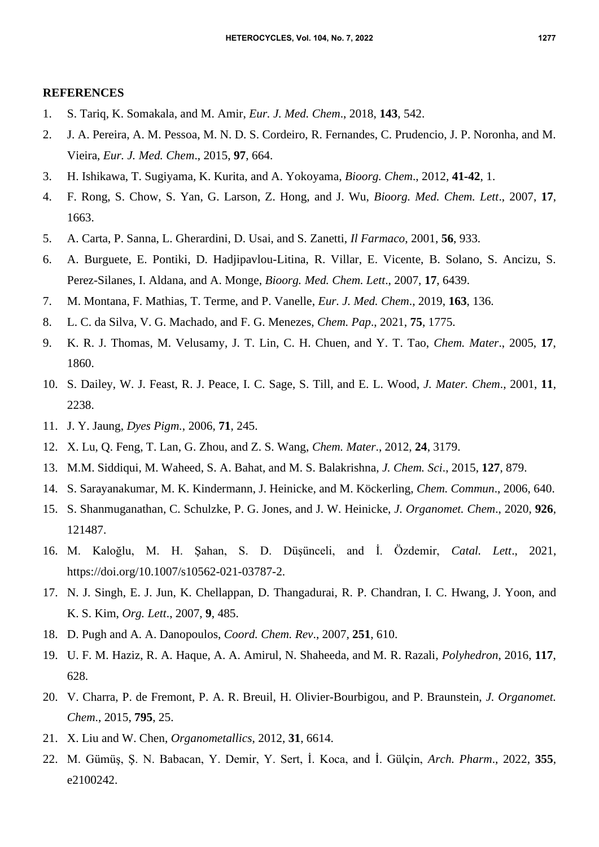#### **REFERENCES**

- 1. S. Tariq, K. Somakala, and M. Amir, *Eur. J. Med. Chem*., 2018, **143**, 542.
- 2. J. A. Pereira, A. M. Pessoa, M. N. D. S. Cordeiro, R. Fernandes, C. Prudencio, J. P. Noronha, and M. Vieira, *Eur. J. Med. Chem*., 2015, **97**, 664.
- 3. H. Ishikawa, T. Sugiyama, K. Kurita, and A. Yokoyama, *Bioorg. Chem*., 2012, **41-42**, 1.
- 4. F. Rong, S. Chow, S. Yan, G. Larson, Z. Hong, and J. Wu, *Bioorg. Med. Chem. Lett*., 2007, **17**, 1663.
- 5. A. Carta, P. Sanna, L. Gherardini, D. Usai, and S. Zanetti, *Il Farmaco*, 2001, **56**, 933.
- 6. A. Burguete, E. Pontiki, D. Hadjipavlou-Litina, R. Villar, E. Vicente, B. Solano, S. Ancizu, S. Perez-Silanes, I. Aldana, and A. Monge, *Bioorg. Med. Chem. Lett*., 2007, **17**, 6439.
- 7. M. Montana, F. Mathias, T. Terme, and P. Vanelle, *Eur. J. Med. Chem*., 2019, **163**, 136.
- 8. L. C. da Silva, V. G. Machado, and F. G. Menezes, *Chem. Pap*., 2021, **75**, 1775.
- 9. K. R. J. Thomas, M. Velusamy, J. T. Lin, C. H. Chuen, and Y. T. Tao, *Chem. Mater*., 2005, **17**, 1860.
- 10. S. Dailey, W. J. Feast, R. J. Peace, I. C. Sage, S. Till, and E. L. Wood, *J. Mater. Chem*., 2001, **11**, 2238.
- 11. J. Y. Jaung, *Dyes Pigm.*, 2006, **71**, 245.
- 12. X. Lu, Q. Feng, T. Lan, G. Zhou, and Z. S. Wang, *Chem. Mater*., 2012, **24**, 3179.
- 13. M.M. Siddiqui, M. Waheed, S. A. Bahat, and M. S. Balakrishna, *J. Chem. Sci*., 2015, **127**, 879.
- 14. S. Sarayanakumar, M. K. Kindermann, J. Heinicke, and M. Köckerling, *Chem. Commun*., 2006, 640.
- 15. S. Shanmuganathan, C. Schulzke, P. G. Jones, and J. W. Heinicke, *J. Organomet. Chem*., 2020, **926**, 121487.
- 16. M. Kaloğlu, M. H. Şahan, S. D. Düşünceli, and İ. Özdemir, *Catal. Lett*., 2021, [https://doi.org/10.1007/s10562-021-03787-2.](https://doi.org/10.1007/s10562-021-03787-2)
- 17. N. J. Singh, E. J. Jun, K. Chellappan, D. Thangadurai, R. P. Chandran, I. C. Hwang, J. Yoon, and K. S. Kim, *Org. Lett*., 2007, **9**, 485.
- 18. D. Pugh and A. A. Danopoulos, *Coord. Chem. Rev*., 2007, **251**, 610.
- 19. U. F. M. Haziz, R. A. Haque, A. A. Amirul, N. Shaheeda, and M. R. Razali, *Polyhedron*, 2016, **117**, 628.
- 20. V. Charra, P. de Fremont, P. A. R. Breuil, H. Olivier-Bourbigou, and P. Braunstein, *J. Organomet. Chem*., 2015, **795**, 25.
- 21. X. Liu and W. Chen, *Organometallics*, 2012, **31**, 6614.
- 22. M. Gümüş, Ş. N. Babacan, Y. Demir, Y. Sert, İ. Koca, and İ. Gülçin, *Arch. Pharm*., 2022, **355**, e2100242.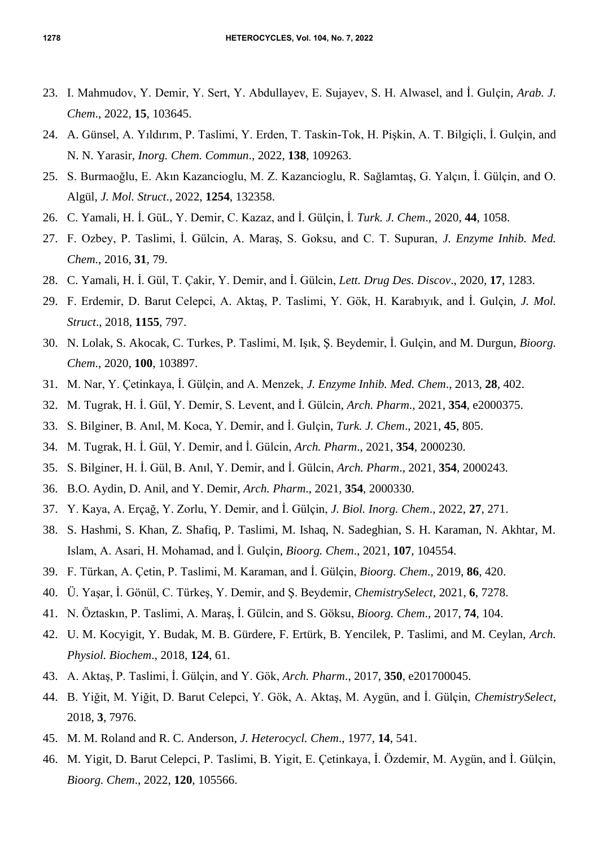- 23. I. Mahmudov, Y. Demir, Y. Sert, Y. Abdullayev, E. Sujayev, S. H. Alwasel, and İ. Gulçin, *Arab. J. Chem*., 2022, **15**, 103645.
- 24. A. Günsel, A. Yıldırım, P. Taslimi, Y. Erden, T. Taskin-Tok, H. Pişkin, A. T. Bilgiçli, İ. Gulçin, and N. N. Yarasir, *Inorg. Chem. Commun*., 2022, **138**, 109263.
- 25. S. Burmaoğlu, E. Akın Kazancioglu, M. Z. Kazancioglu, R. Sağlamtaş, G. Yalçın, İ. Gülçin, and O. Algül, *J. Mol. Struct*., 2022, **1254**, 132358.
- 26. C. Yamali, H. İ. GüL, Y. Demir, C. Kazaz, and İ. Gülçin, İ. *Turk. J. Chem*., 2020, **44**, 1058.
- 27. F. Ozbey, P. Taslimi, İ. Gülcin, A. Maraş, S. Goksu, and C. T. Supuran, *J. Enzyme Inhib. Med. Chem*., 2016, **31**, 79.
- 28. C. Yamali, H. İ. Gül, T. Çakir, Y. Demir, and İ. Gülcin, *Lett. Drug Des. Discov*., 2020, **17**, 1283.
- 29. F. Erdemir, D. Barut Celepci, A. Aktaş, P. Taslimi, Y. Gök, H. Karabıyık, and İ. Gulçin, *J. Mol. Struct*., 2018, **1155**, 797.
- 30. N. Lolak, S. Akocak, C. Turkes, P. Taslimi, M. Işık, Ş. Beydemir, İ. Gulçin, and M. Durgun, *Bioorg. Chem*., 2020, **100**, 103897.
- 31. M. Nar, Y. Çetinkaya, İ. Gülçin, and A. Menzek, *J. Enzyme Inhib. Med. Chem*., 2013, **28**, 402.
- 32. M. Tugrak, H. İ. Gül, Y. Demir, S. Levent, and İ. Gülcin, *Arch. Pharm*., 2021, **354**, e2000375.
- 33. S. Bilginer, B. Anıl, M. Koca, Y. Demir, and İ. Gulçin, *Turk. J. Chem*., 2021, **45**, 805.
- 34. M. Tugrak, H. İ. Gül, Y. Demir, and İ. Gülcin, *Arch. Pharm*., 2021, **354**, 2000230.
- 35. S. Bilginer, H. İ. Gül, B. Anıl, Y. Demir, and İ. Gülcin, *Arch. Pharm*., 2021, **354**, 2000243.
- 36. B.O. Aydin, D. Anil, and Y. Demir, *Arch. Pharm*., 2021, **354**, 2000330.
- 37. Y. Kaya, A. Erçağ, Y. Zorlu, Y. Demir, and İ. Gülçin, *J. Biol. Inorg. Chem*., 2022, **27**, 271.
- 38. S. Hashmi, S. Khan, Z. Shafiq, P. Taslimi, M. Ishaq, N. Sadeghian, S. H. Karaman, N. Akhtar, M. Islam, A. Asari, H. Mohamad, and İ. Gulçin, *Bioorg. Chem*., 2021, **107**, 104554.
- 39. F. Türkan, A. Çetin, P. Taslimi, M. Karaman, and İ. Gülçin, *Bioorg. Chem*., 2019, **86**, 420.
- 40. Ü. Yaşar, İ. Gönül, C. Türkeş, Y. Demir, and Ş. Beydemir, *ChemistrySelect,* 2021, **6**, 7278.
- 41. N. Öztaskın, P. Taslimi, A. Maraş, İ. Gülcin, and S. Göksu, *Bioorg. Chem*., 2017, **74**, 104.
- 42. U. M. Kocyigit, Y. Budak, M. B. Gürdere, F. Ertürk, B. Yencilek, P. Taslimi, and M. Ceylan, *Arch. Physiol. Biochem*., 2018, **124**, 61.
- 43. A. Aktaş, P. Taslimi, İ. Gülçin, and Y. Gök, *Arch. Pharm*., 2017, **350**, e201700045.
- 44. B. Yiğit, M. Yiğit, D. Barut Celepci, Y. Gök, A. Aktaş, M. Aygün, and İ. Gülçin, *ChemistrySelect,* 2018, **3**, 7976.
- 45. M. M. Roland and R. C. Anderson, *J. Heterocycl. Chem*., 1977, **14**, 541.
- 46. M. Yigit, D. Barut Celepci, P. Taslimi, B. Yigit, E. Çetinkaya, İ. Özdemir, M. Aygün, and İ. Gülçin, *Bioorg. Chem*., 2022, **120**, 105566.